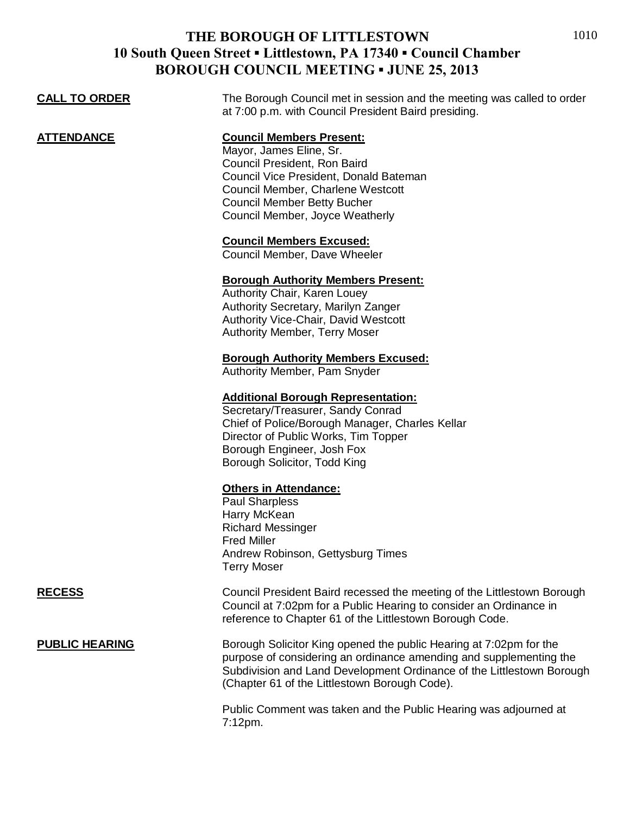| <b>CALL TO ORDER</b>  | The Borough Council met in session and the meeting was called to order<br>at 7:00 p.m. with Council President Baird presiding.                                                                                                                                                                                        |
|-----------------------|-----------------------------------------------------------------------------------------------------------------------------------------------------------------------------------------------------------------------------------------------------------------------------------------------------------------------|
| <u>ATTENDANCE</u>     | <b>Council Members Present:</b><br>Mayor, James Eline, Sr.<br>Council President, Ron Baird<br>Council Vice President, Donald Bateman<br>Council Member, Charlene Westcott<br><b>Council Member Betty Bucher</b><br>Council Member, Joyce Weatherly<br><b>Council Members Excused:</b><br>Council Member, Dave Wheeler |
|                       | <b>Borough Authority Members Present:</b><br>Authority Chair, Karen Louey<br>Authority Secretary, Marilyn Zanger<br><b>Authority Vice-Chair, David Westcott</b><br><b>Authority Member, Terry Moser</b>                                                                                                               |
|                       | <b>Borough Authority Members Excused:</b><br>Authority Member, Pam Snyder                                                                                                                                                                                                                                             |
|                       | <b>Additional Borough Representation:</b><br>Secretary/Treasurer, Sandy Conrad<br>Chief of Police/Borough Manager, Charles Kellar<br>Director of Public Works, Tim Topper<br>Borough Engineer, Josh Fox<br>Borough Solicitor, Todd King                                                                               |
|                       | <b>Others in Attendance:</b><br><b>Paul Sharpless</b><br>Harry McKean<br><b>Richard Messinger</b><br><b>Fred Miller</b><br>Andrew Robinson, Gettysburg Times<br><b>Terry Moser</b>                                                                                                                                    |
| <b>RECESS</b>         | Council President Baird recessed the meeting of the Littlestown Borough<br>Council at 7:02pm for a Public Hearing to consider an Ordinance in<br>reference to Chapter 61 of the Littlestown Borough Code.                                                                                                             |
| <b>PUBLIC HEARING</b> | Borough Solicitor King opened the public Hearing at 7:02pm for the<br>purpose of considering an ordinance amending and supplementing the<br>Subdivision and Land Development Ordinance of the Littlestown Borough<br>(Chapter 61 of the Littlestown Borough Code).                                                    |

Public Comment was taken and the Public Hearing was adjourned at 7:12pm.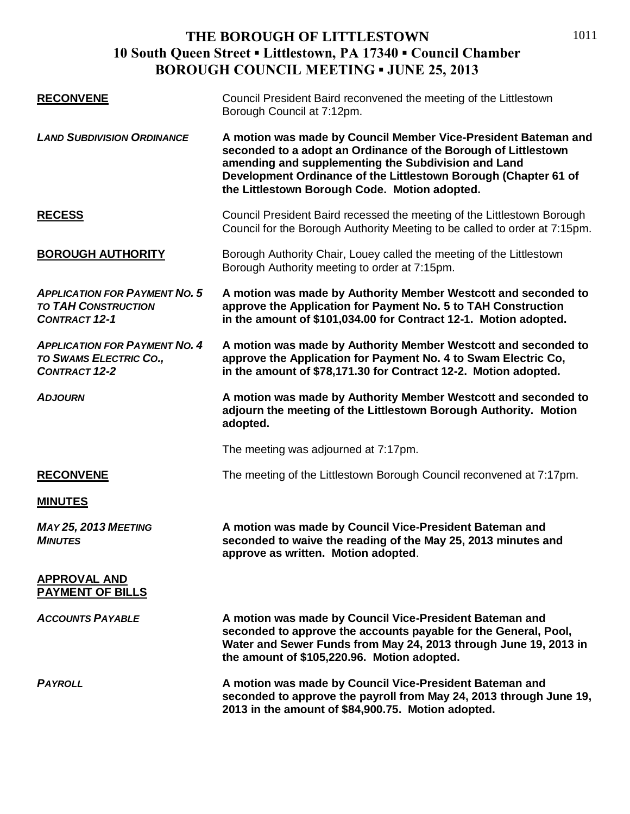| <b>RECONVENE</b>                                                                           | Council President Baird reconvened the meeting of the Littlestown<br>Borough Council at 7:12pm.                                                                                                                                                                                                             |
|--------------------------------------------------------------------------------------------|-------------------------------------------------------------------------------------------------------------------------------------------------------------------------------------------------------------------------------------------------------------------------------------------------------------|
| <b>LAND SUBDIVISION ORDINANCE</b>                                                          | A motion was made by Council Member Vice-President Bateman and<br>seconded to a adopt an Ordinance of the Borough of Littlestown<br>amending and supplementing the Subdivision and Land<br>Development Ordinance of the Littlestown Borough (Chapter 61 of<br>the Littlestown Borough Code. Motion adopted. |
| <u>RECESS</u>                                                                              | Council President Baird recessed the meeting of the Littlestown Borough<br>Council for the Borough Authority Meeting to be called to order at 7:15pm.                                                                                                                                                       |
| <b>BOROUGH AUTHORITY</b>                                                                   | Borough Authority Chair, Louey called the meeting of the Littlestown<br>Borough Authority meeting to order at 7:15pm.                                                                                                                                                                                       |
| <b>APPLICATION FOR PAYMENT NO. 5</b><br><b>TO TAH CONSTRUCTION</b><br><b>CONTRACT 12-1</b> | A motion was made by Authority Member Westcott and seconded to<br>approve the Application for Payment No. 5 to TAH Construction<br>in the amount of \$101,034.00 for Contract 12-1. Motion adopted.                                                                                                         |
| <b>APPLICATION FOR PAYMENT NO. 4</b><br>TO SWAMS ELECTRIC CO.,<br><b>CONTRACT 12-2</b>     | A motion was made by Authority Member Westcott and seconded to<br>approve the Application for Payment No. 4 to Swam Electric Co,<br>in the amount of \$78,171.30 for Contract 12-2. Motion adopted.                                                                                                         |
| <b>ADJOURN</b>                                                                             | A motion was made by Authority Member Westcott and seconded to<br>adjourn the meeting of the Littlestown Borough Authority. Motion<br>adopted.                                                                                                                                                              |
|                                                                                            | The meeting was adjourned at 7:17pm.                                                                                                                                                                                                                                                                        |
| <b>RECONVENE</b>                                                                           | The meeting of the Littlestown Borough Council reconvened at 7:17pm.                                                                                                                                                                                                                                        |
| <b>MINUTES</b>                                                                             |                                                                                                                                                                                                                                                                                                             |
| <b>MAY 25, 2013 MEETING</b><br><b>MINUTES</b>                                              | A motion was made by Council Vice-President Bateman and<br>seconded to waive the reading of the May 25, 2013 minutes and<br>approve as written. Motion adopted.                                                                                                                                             |
| <b>APPROVAL AND</b><br><b>PAYMENT OF BILLS</b>                                             |                                                                                                                                                                                                                                                                                                             |
| <b>ACCOUNTS PAYABLE</b>                                                                    | A motion was made by Council Vice-President Bateman and<br>seconded to approve the accounts payable for the General, Pool,<br>Water and Sewer Funds from May 24, 2013 through June 19, 2013 in<br>the amount of \$105,220.96. Motion adopted.                                                               |
| <b>PAYROLL</b>                                                                             | A motion was made by Council Vice-President Bateman and<br>seconded to approve the payroll from May 24, 2013 through June 19,<br>2013 in the amount of \$84,900.75. Motion adopted.                                                                                                                         |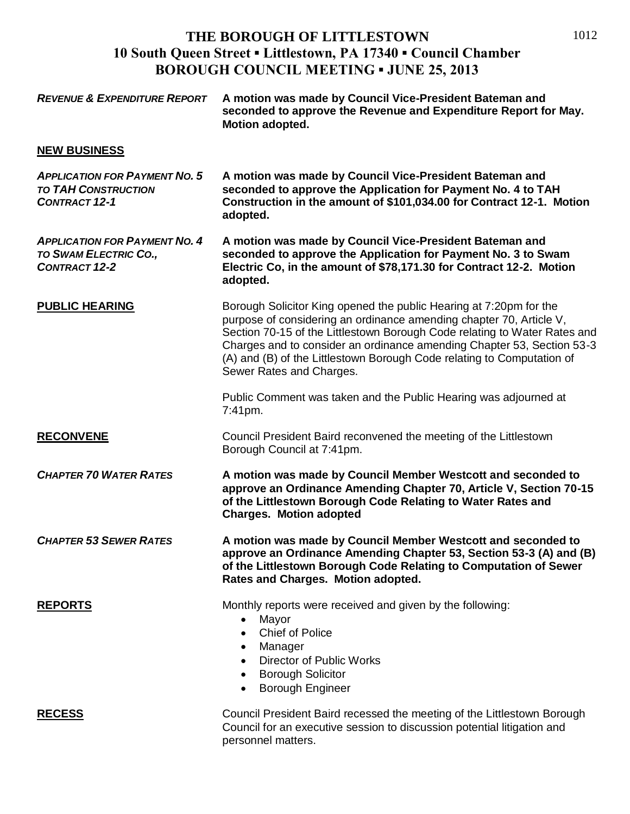| <b>REVENUE &amp; EXPENDITURE REPORT</b>                                                      | A motion was made by Council Vice-President Bateman and<br>seconded to approve the Revenue and Expenditure Report for May.<br>Motion adopted.                                                                                                                                                                                                                                                          |
|----------------------------------------------------------------------------------------------|--------------------------------------------------------------------------------------------------------------------------------------------------------------------------------------------------------------------------------------------------------------------------------------------------------------------------------------------------------------------------------------------------------|
| <b>NEW BUSINESS</b>                                                                          |                                                                                                                                                                                                                                                                                                                                                                                                        |
| <b>APPLICATION FOR PAYMENT NO. 5</b><br><b>TO TAH CONSTRUCTION</b><br><b>CONTRACT 12-1</b>   | A motion was made by Council Vice-President Bateman and<br>seconded to approve the Application for Payment No. 4 to TAH<br>Construction in the amount of \$101,034.00 for Contract 12-1. Motion<br>adopted.                                                                                                                                                                                            |
| <b>APPLICATION FOR PAYMENT NO. 4</b><br><b>TO SWAM ELECTRIC CO.,</b><br><b>CONTRACT 12-2</b> | A motion was made by Council Vice-President Bateman and<br>seconded to approve the Application for Payment No. 3 to Swam<br>Electric Co, in the amount of \$78,171.30 for Contract 12-2. Motion<br>adopted.                                                                                                                                                                                            |
| <b>PUBLIC HEARING</b>                                                                        | Borough Solicitor King opened the public Hearing at 7:20pm for the<br>purpose of considering an ordinance amending chapter 70, Article V,<br>Section 70-15 of the Littlestown Borough Code relating to Water Rates and<br>Charges and to consider an ordinance amending Chapter 53, Section 53-3<br>(A) and (B) of the Littlestown Borough Code relating to Computation of<br>Sewer Rates and Charges. |
|                                                                                              | Public Comment was taken and the Public Hearing was adjourned at<br>7:41pm.                                                                                                                                                                                                                                                                                                                            |
| <b>RECONVENE</b>                                                                             | Council President Baird reconvened the meeting of the Littlestown<br>Borough Council at 7:41pm.                                                                                                                                                                                                                                                                                                        |
| <b>CHAPTER 70 WATER RATES</b>                                                                | A motion was made by Council Member Westcott and seconded to<br>approve an Ordinance Amending Chapter 70, Article V, Section 70-15<br>of the Littlestown Borough Code Relating to Water Rates and<br><b>Charges. Motion adopted</b>                                                                                                                                                                    |
| <b>CHAPTER 53 SEWER RATES</b>                                                                | A motion was made by Council Member Westcott and seconded to<br>approve an Ordinance Amending Chapter 53, Section 53-3 (A) and (B)<br>of the Littlestown Borough Code Relating to Computation of Sewer<br>Rates and Charges. Motion adopted.                                                                                                                                                           |
| <b>REPORTS</b>                                                                               | Monthly reports were received and given by the following:<br>Mayor<br>$\bullet$<br><b>Chief of Police</b><br>$\bullet$<br>Manager<br>$\bullet$<br><b>Director of Public Works</b><br>$\bullet$<br><b>Borough Solicitor</b><br>٠<br><b>Borough Engineer</b><br>$\bullet$                                                                                                                                |
| <b>RECESS</b>                                                                                | Council President Baird recessed the meeting of the Littlestown Borough<br>Council for an executive session to discussion potential litigation and<br>personnel matters.                                                                                                                                                                                                                               |